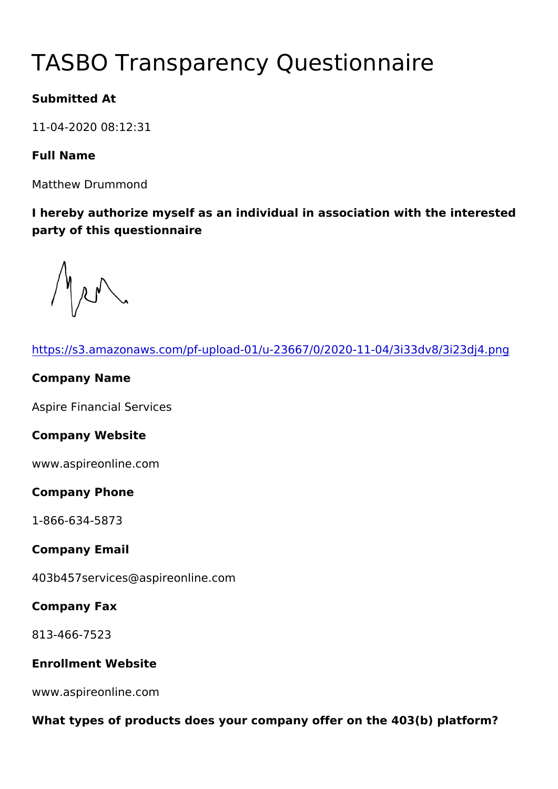# TASBO Transparency Questionna

Submitted At

11-04-2020 08:12:31

Full Name

Matthew Drummond

I hereby authorize myself as an individual in association with the party of this questionnaire

| https://s3.amazonaws.com/pf-upload-01/u-23667/0/2020-11-04/3i3   |
|------------------------------------------------------------------|
| Company Name                                                     |
| Aspire Financial Services                                        |
| Company Website                                                  |
| www.aspireonline.com                                             |
| Company Phone                                                    |
| $1 - 866 - 634 - 5873$                                           |
| Company Email                                                    |
| 403b457services@aspireonline.com                                 |
| Company Fax                                                      |
| 813-466-7523                                                     |
| Enrollment Website                                               |
| www.aspireonline.com                                             |
| What types of products does your company offer on the 403(b) pla |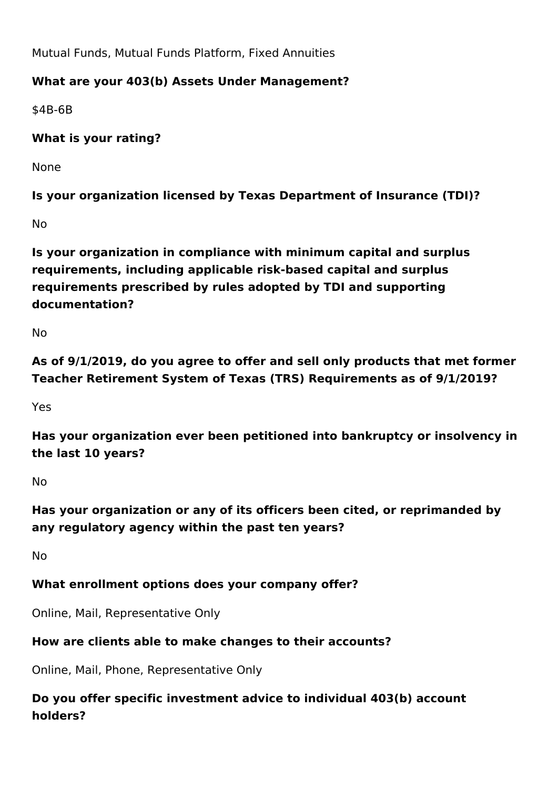Mutual Funds, Mutual Funds Platform, Fixed Annuities

#### **What are your 403(b) Assets Under Management?**

\$4B-6B

**What is your rating?** 

None

**Is your organization licensed by Texas Department of Insurance (TDI)?**

No

**Is your organization in compliance with minimum capital and surplus requirements, including applicable risk-based capital and surplus requirements prescribed by rules adopted by TDI and supporting documentation?**

No

**As of 9/1/2019, do you agree to offer and sell only products that met former Teacher Retirement System of Texas (TRS) Requirements as of 9/1/2019?**

Yes

**Has your organization ever been petitioned into bankruptcy or insolvency in the last 10 years?**

No

**Has your organization or any of its officers been cited, or reprimanded by any regulatory agency within the past ten years?**

No

#### **What enrollment options does your company offer?**

Online, Mail, Representative Only

#### **How are clients able to make changes to their accounts?**

Online, Mail, Phone, Representative Only

**Do you offer specific investment advice to individual 403(b) account holders?**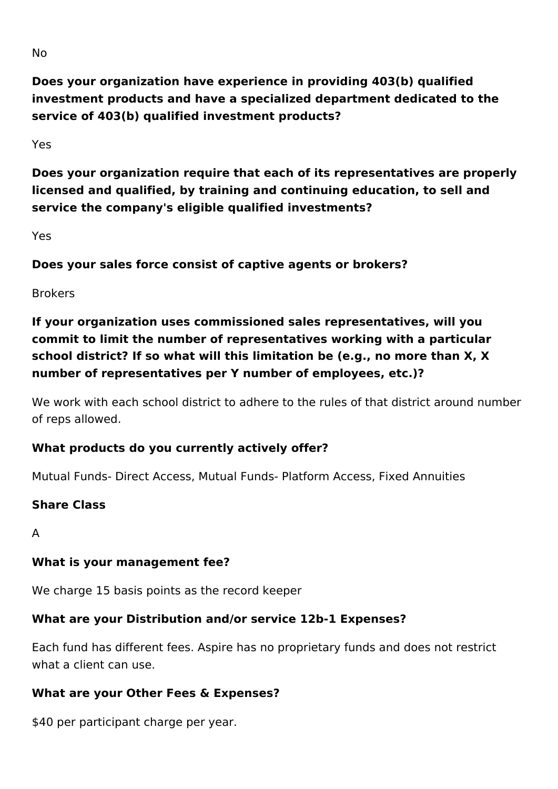**Does your organization have experience in providing 403(b) qualified investment products and have a specialized department dedicated to the service of 403(b) qualified investment products?**

Yes

**Does your organization require that each of its representatives are properly licensed and qualified, by training and continuing education, to sell and service the company's eligible qualified investments?** 

Yes

**Does your sales force consist of captive agents or brokers?**

Brokers

**If your organization uses commissioned sales representatives, will you commit to limit the number of representatives working with a particular school district? If so what will this limitation be (e.g., no more than X, X number of representatives per Y number of employees, etc.)?**

We work with each school district to adhere to the rules of that district around number of reps allowed.

# **What products do you currently actively offer?**

Mutual Funds- Direct Access, Mutual Funds- Platform Access, Fixed Annuities

#### **Share Class**

A

# **What is your management fee?**

We charge 15 basis points as the record keeper

# **What are your Distribution and/or service 12b-1 Expenses?**

Each fund has different fees. Aspire has no proprietary funds and does not restrict what a client can use.

#### **What are your Other Fees & Expenses?**

\$40 per participant charge per year.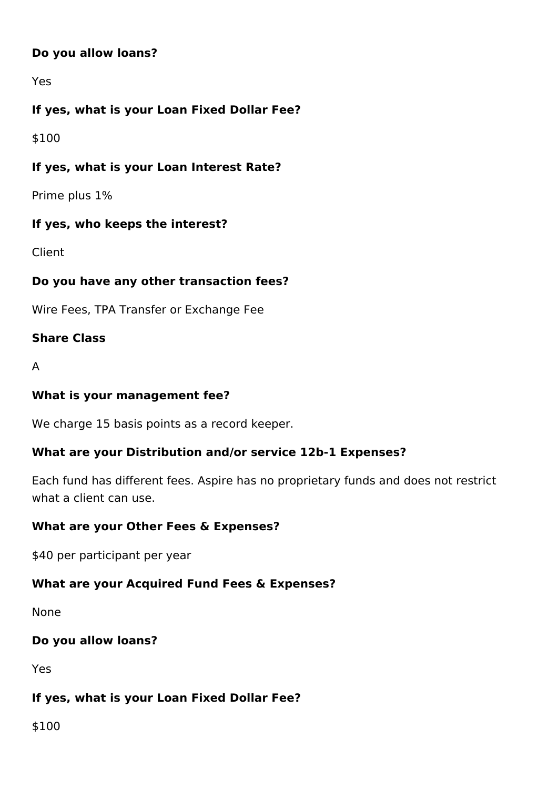#### **Do you allow loans?**

Yes

# **If yes, what is your Loan Fixed Dollar Fee?**

\$100

#### **If yes, what is your Loan Interest Rate?**

Prime plus 1%

#### **If yes, who keeps the interest?**

Client

#### **Do you have any other transaction fees?**

Wire Fees, TPA Transfer or Exchange Fee

#### **Share Class**

A

#### **What is your management fee?**

We charge 15 basis points as a record keeper.

#### **What are your Distribution and/or service 12b-1 Expenses?**

Each fund has different fees. Aspire has no proprietary funds and does not restrict what a client can use.

#### **What are your Other Fees & Expenses?**

\$40 per participant per year

#### **What are your Acquired Fund Fees & Expenses?**

None

#### **Do you allow loans?**

Yes

#### **If yes, what is your Loan Fixed Dollar Fee?**

\$100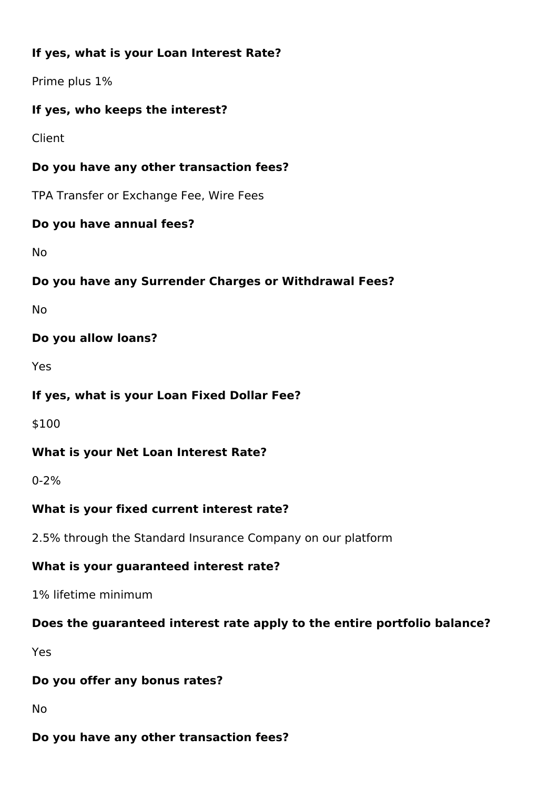# **If yes, what is your Loan Interest Rate?**

Prime plus 1%

#### **If yes, who keeps the interest?**

Client

#### **Do you have any other transaction fees?**

TPA Transfer or Exchange Fee, Wire Fees

#### **Do you have annual fees?**

No

#### **Do you have any Surrender Charges or Withdrawal Fees?**

No

#### **Do you allow loans?**

Yes

#### **If yes, what is your Loan Fixed Dollar Fee?**

\$100

#### **What is your Net Loan Interest Rate?**

0-2%

#### **What is your fixed current interest rate?**

2.5% through the Standard Insurance Company on our platform

# **What is your guaranteed interest rate?**

1% lifetime minimum

# **Does the guaranteed interest rate apply to the entire portfolio balance?**

Yes

#### **Do you offer any bonus rates?**

No

#### **Do you have any other transaction fees?**